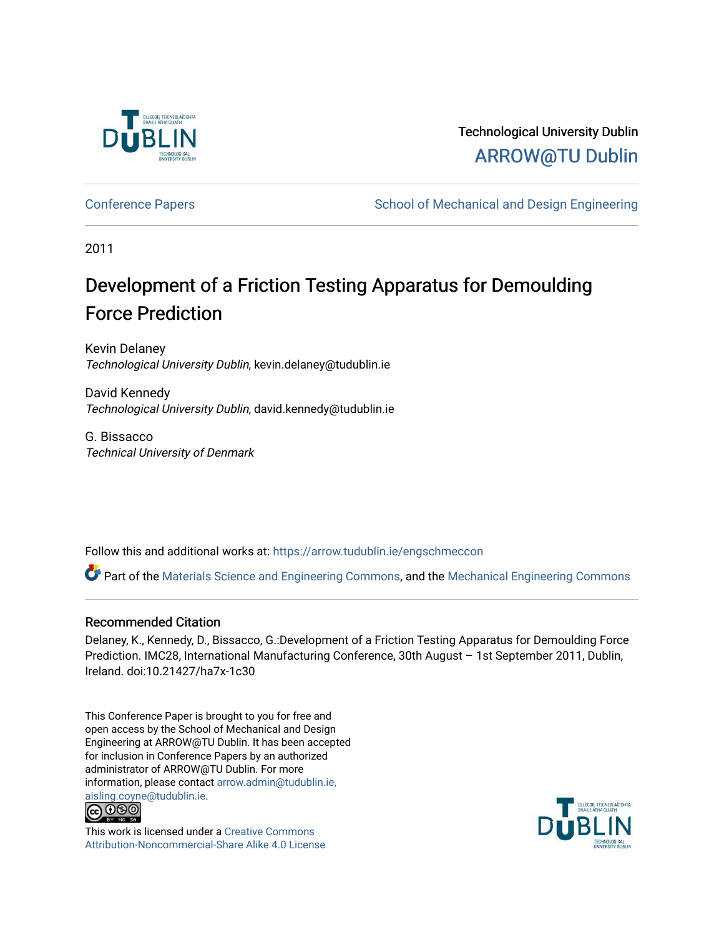

# Technological University Dublin [ARROW@TU Dublin](https://arrow.tudublin.ie/)

[Conference Papers](https://arrow.tudublin.ie/engschmeccon) **School of Mechanical and Design Engineering** School of Mechanical and Design Engineering

2011

# Development of a Friction Testing Apparatus for Demoulding Force Prediction

Kevin Delaney Technological University Dublin, kevin.delaney@tudublin.ie

David Kennedy Technological University Dublin, david.kennedy@tudublin.ie

G. Bissacco Technical University of Denmark

Follow this and additional works at: [https://arrow.tudublin.ie/engschmeccon](https://arrow.tudublin.ie/engschmeccon?utm_source=arrow.tudublin.ie%2Fengschmeccon%2F43&utm_medium=PDF&utm_campaign=PDFCoverPages) 

Part of the [Materials Science and Engineering Commons,](http://network.bepress.com/hgg/discipline/285?utm_source=arrow.tudublin.ie%2Fengschmeccon%2F43&utm_medium=PDF&utm_campaign=PDFCoverPages) and the [Mechanical Engineering Commons](http://network.bepress.com/hgg/discipline/293?utm_source=arrow.tudublin.ie%2Fengschmeccon%2F43&utm_medium=PDF&utm_campaign=PDFCoverPages)

#### Recommended Citation

Delaney, K., Kennedy, D., Bissacco, G.:Development of a Friction Testing Apparatus for Demoulding Force Prediction. IMC28, International Manufacturing Conference, 30th August – 1st September 2011, Dublin, Ireland. doi:10.21427/ha7x-1c30

This Conference Paper is brought to you for free and open access by the School of Mechanical and Design Engineering at ARROW@TU Dublin. It has been accepted for inclusion in Conference Papers by an authorized administrator of ARROW@TU Dublin. For more information, please contact [arrow.admin@tudublin.ie,](mailto:arrow.admin@tudublin.ie,%20aisling.coyne@tudublin.ie)  [aisling.coyne@tudublin.ie.](mailto:arrow.admin@tudublin.ie,%20aisling.coyne@tudublin.ie)<br>© 090



This work is licensed under a [Creative Commons](http://creativecommons.org/licenses/by-nc-sa/4.0/) [Attribution-Noncommercial-Share Alike 4.0 License](http://creativecommons.org/licenses/by-nc-sa/4.0/)

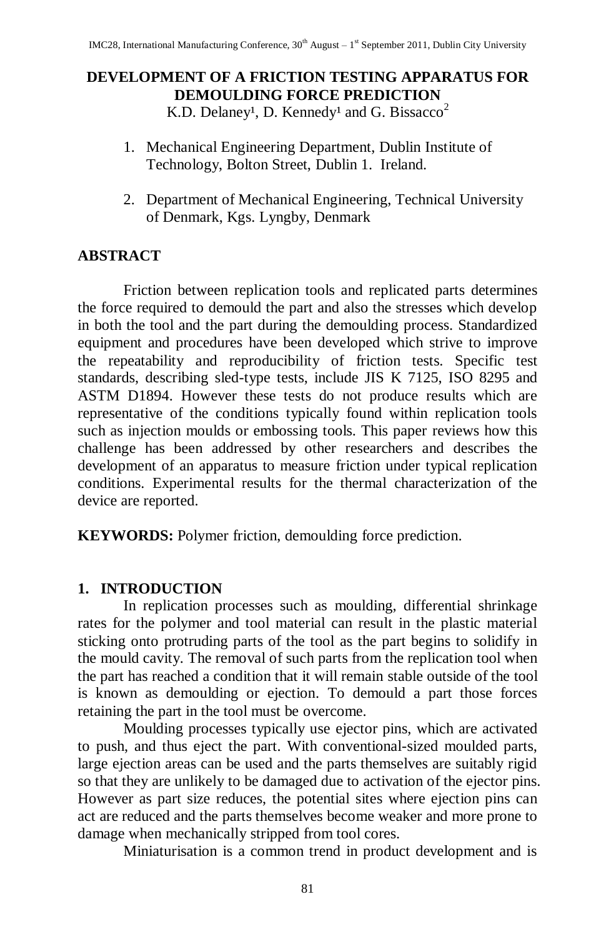#### **DEVELOPMENT OF A FRICTION TESTING APPARATUS FOR DEMOULDING FORCE PREDICTION** K.D. Delaney<sup>1</sup>, D. Kennedy<sup>1</sup> and G. Bissacco<sup>2</sup>

- 1. Mechanical Engineering Department, Dublin Institute of Technology, Bolton Street, Dublin 1. Ireland.
- 2. Department of Mechanical Engineering, Technical University of Denmark, Kgs. Lyngby, Denmark

# **ABSTRACT**

Friction between replication tools and replicated parts determines the force required to demould the part and also the stresses which develop in both the tool and the part during the demoulding process. Standardized equipment and procedures have been developed which strive to improve the repeatability and reproducibility of friction tests. Specific test standards, describing sled-type tests, include JIS K 7125, ISO 8295 and ASTM D1894. However these tests do not produce results which are representative of the conditions typically found within replication tools such as injection moulds or embossing tools. This paper reviews how this challenge has been addressed by other researchers and describes the development of an apparatus to measure friction under typical replication conditions. Experimental results for the thermal characterization of the device are reported.

**KEYWORDS:** Polymer friction, demoulding force prediction.

# **1. INTRODUCTION**

In replication processes such as moulding, differential shrinkage rates for the polymer and tool material can result in the plastic material sticking onto protruding parts of the tool as the part begins to solidify in the mould cavity. The removal of such parts from the replication tool when the part has reached a condition that it will remain stable outside of the tool is known as demoulding or ejection. To demould a part those forces retaining the part in the tool must be overcome.

Moulding processes typically use ejector pins, which are activated to push, and thus eject the part. With conventional-sized moulded parts, large ejection areas can be used and the parts themselves are suitably rigid so that they are unlikely to be damaged due to activation of the ejector pins. However as part size reduces, the potential sites where ejection pins can act are reduced and the parts themselves become weaker and more prone to damage when mechanically stripped from tool cores.

Miniaturisation is a common trend in product development and is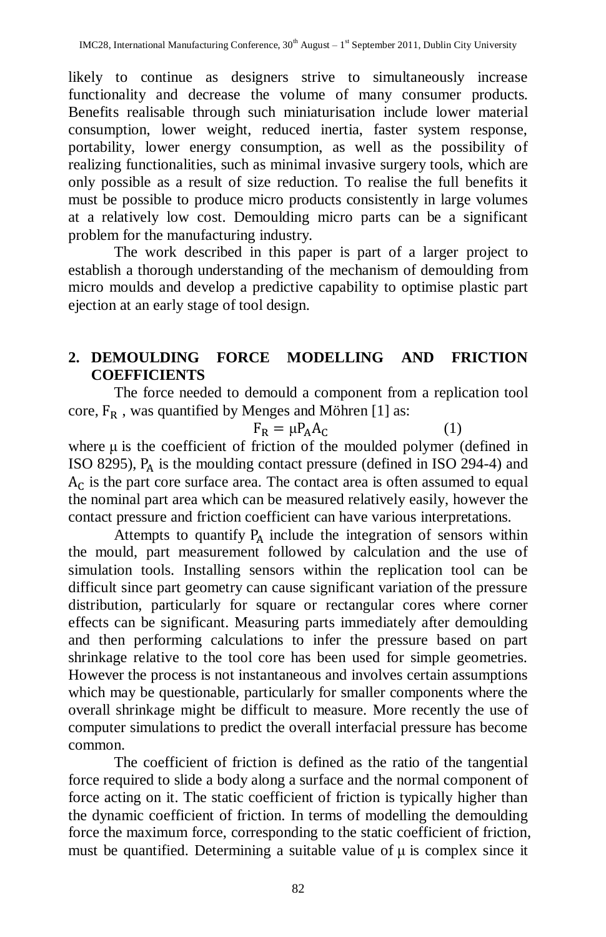likely to continue as designers strive to simultaneously increase functionality and decrease the volume of many consumer products. Benefits realisable through such miniaturisation include lower material consumption, lower weight, reduced inertia, faster system response, portability, lower energy consumption, as well as the possibility of realizing functionalities, such as minimal invasive surgery tools, which are only possible as a result of size reduction. To realise the full benefits it must be possible to produce micro products consistently in large volumes at a relatively low cost. Demoulding micro parts can be a significant problem for the manufacturing industry.

The work described in this paper is part of a larger project to establish a thorough understanding of the mechanism of demoulding from micro moulds and develop a predictive capability to optimise plastic part ejection at an early stage of tool design.

# **2. DEMOULDING FORCE MODELLING AND FRICTION COEFFICIENTS**

The force needed to demould a component from a replication tool core,  $F_R$ , was quantified by Menges and Möhren [1] as:

$$
F_R = \mu P_A A_C \tag{1}
$$

where  $\mu$  is the coefficient of friction of the moulded polymer (defined in ISO 8295),  $P_A$  is the moulding contact pressure (defined in ISO 294-4) and  $A<sub>C</sub>$  is the part core surface area. The contact area is often assumed to equal the nominal part area which can be measured relatively easily, however the contact pressure and friction coefficient can have various interpretations.

Attempts to quantify  $P_A$  include the integration of sensors within the mould, part measurement followed by calculation and the use of simulation tools. Installing sensors within the replication tool can be difficult since part geometry can cause significant variation of the pressure distribution, particularly for square or rectangular cores where corner effects can be significant. Measuring parts immediately after demoulding and then performing calculations to infer the pressure based on part shrinkage relative to the tool core has been used for simple geometries. However the process is not instantaneous and involves certain assumptions which may be questionable, particularly for smaller components where the overall shrinkage might be difficult to measure. More recently the use of computer simulations to predict the overall interfacial pressure has become common.

The coefficient of friction is defined as the ratio of the tangential force required to slide a body along a surface and the normal component of force acting on it. The static coefficient of friction is typically higher than the dynamic coefficient of friction. In terms of modelling the demoulding force the maximum force, corresponding to the static coefficient of friction, must be quantified. Determining a suitable value of  $\mu$  is complex since it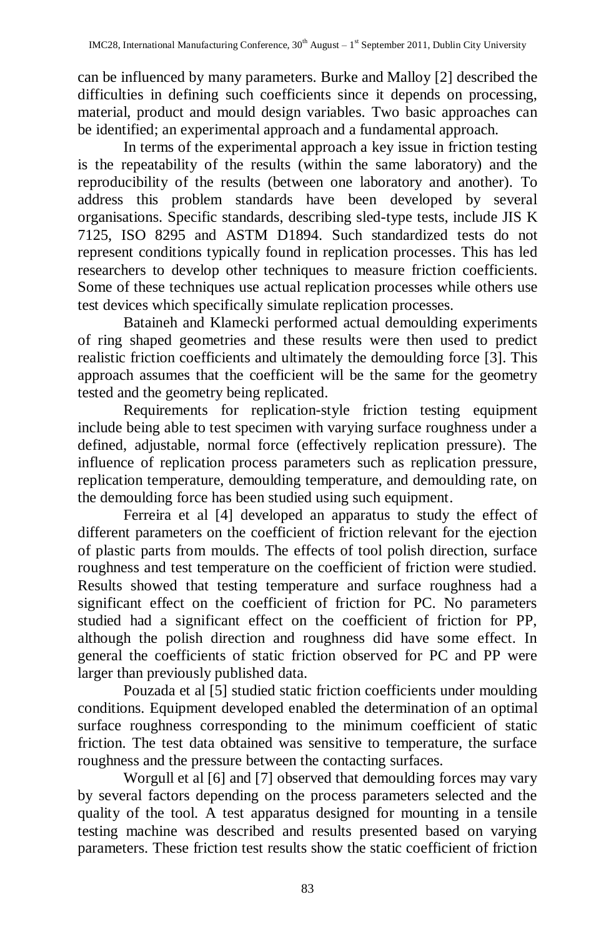can be influenced by many parameters. Burke and Malloy [2] described the difficulties in defining such coefficients since it depends on processing, material, product and mould design variables. Two basic approaches can be identified; an experimental approach and a fundamental approach.

In terms of the experimental approach a key issue in friction testing is the repeatability of the results (within the same laboratory) and the reproducibility of the results (between one laboratory and another). To address this problem standards have been developed by several organisations. Specific standards, describing sled-type tests, include JIS K 7125, ISO 8295 and ASTM D1894. Such standardized tests do not represent conditions typically found in replication processes. This has led researchers to develop other techniques to measure friction coefficients. Some of these techniques use actual replication processes while others use test devices which specifically simulate replication processes.

Bataineh and Klamecki performed actual demoulding experiments of ring shaped geometries and these results were then used to predict realistic friction coefficients and ultimately the demoulding force [3]. This approach assumes that the coefficient will be the same for the geometry tested and the geometry being replicated.

Requirements for replication-style friction testing equipment include being able to test specimen with varying surface roughness under a defined, adjustable, normal force (effectively replication pressure). The influence of replication process parameters such as replication pressure, replication temperature, demoulding temperature, and demoulding rate, on the demoulding force has been studied using such equipment.

Ferreira et al [4] developed an apparatus to study the effect of different parameters on the coefficient of friction relevant for the ejection of plastic parts from moulds. The effects of tool polish direction, surface roughness and test temperature on the coefficient of friction were studied. Results showed that testing temperature and surface roughness had a significant effect on the coefficient of friction for PC. No parameters studied had a significant effect on the coefficient of friction for PP, although the polish direction and roughness did have some effect. In general the coefficients of static friction observed for PC and PP were larger than previously published data.

Pouzada et al [5] studied static friction coefficients under moulding conditions. Equipment developed enabled the determination of an optimal surface roughness corresponding to the minimum coefficient of static friction. The test data obtained was sensitive to temperature, the surface roughness and the pressure between the contacting surfaces.

Worgull et al [6] and [7] observed that demoulding forces may vary by several factors depending on the process parameters selected and the quality of the tool. A test apparatus designed for mounting in a tensile testing machine was described and results presented based on varying parameters. These friction test results show the static coefficient of friction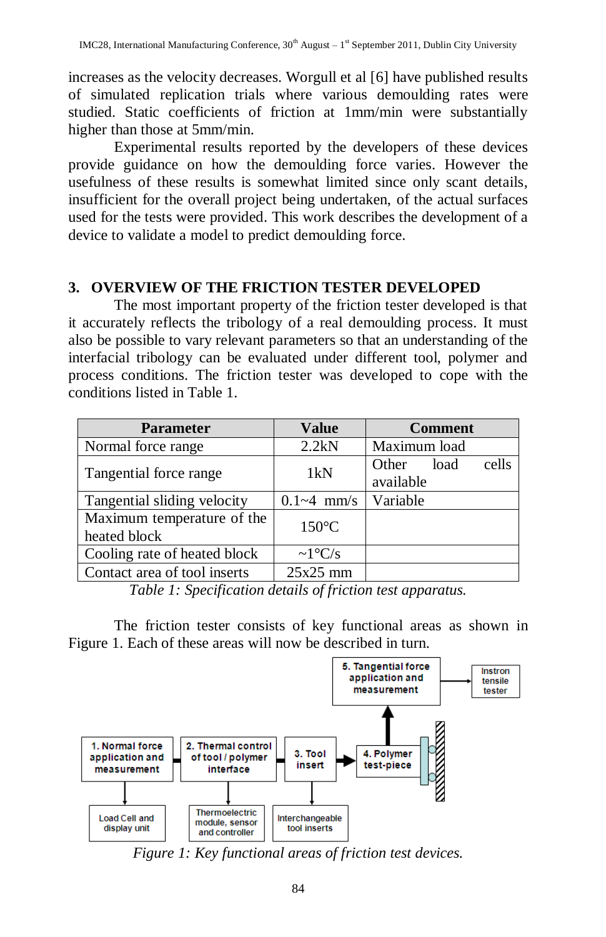increases as the velocity decreases. Worgull et al [6] have published results of simulated replication trials where various demoulding rates were studied. Static coefficients of friction at 1mm/min were substantially higher than those at 5mm/min.

Experimental results reported by the developers of these devices provide guidance on how the demoulding force varies. However the usefulness of these results is somewhat limited since only scant details, insufficient for the overall project being undertaken, of the actual surfaces used for the tests were provided. This work describes the development of a device to validate a model to predict demoulding force.

# **3. OVERVIEW OF THE FRICTION TESTER DEVELOPED**

The most important property of the friction tester developed is that it accurately reflects the tribology of a real demoulding process. It must also be possible to vary relevant parameters so that an understanding of the interfacial tribology can be evaluated under different tool, polymer and process conditions. The friction tester was developed to cope with the conditions listed in Table 1.

| <b>Parameter</b>                           | <b>Value</b>         | <b>Comment</b>                      |
|--------------------------------------------|----------------------|-------------------------------------|
| Normal force range                         | 2.2kN                | Maximum load                        |
| Tangential force range                     | 1kN                  | cells<br>Other<br>load<br>available |
| Tangential sliding velocity                | $0.1 - 4$ mm/s       | Variable                            |
| Maximum temperature of the<br>heated block | $150^{\circ}$ C      |                                     |
| Cooling rate of heated block               | $\sim 1^{\circ}$ C/s |                                     |
| Contact area of tool inserts               | $25x25$ mm           |                                     |

*Table 1: Specification details of friction test apparatus.*

The friction tester consists of key functional areas as shown in Figure 1. Each of these areas will now be described in turn.



*Figure 1: Key functional areas of friction test devices.*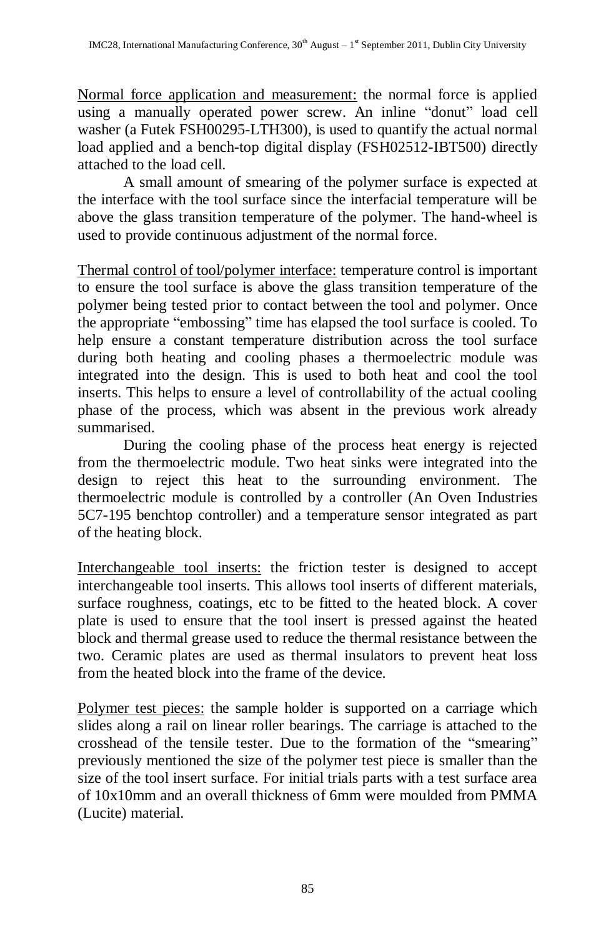Normal force application and measurement: the normal force is applied using a manually operated power screw. An inline "donut" load cell washer (a Futek FSH00295-LTH300), is used to quantify the actual normal load applied and a bench-top digital display (FSH02512-IBT500) directly attached to the load cell.

A small amount of smearing of the polymer surface is expected at the interface with the tool surface since the interfacial temperature will be above the glass transition temperature of the polymer. The hand-wheel is used to provide continuous adjustment of the normal force.

Thermal control of tool/polymer interface: temperature control is important to ensure the tool surface is above the glass transition temperature of the polymer being tested prior to contact between the tool and polymer. Once the appropriate "embossing" time has elapsed the tool surface is cooled. To help ensure a constant temperature distribution across the tool surface during both heating and cooling phases a thermoelectric module was integrated into the design. This is used to both heat and cool the tool inserts. This helps to ensure a level of controllability of the actual cooling phase of the process, which was absent in the previous work already summarised.

During the cooling phase of the process heat energy is rejected from the thermoelectric module. Two heat sinks were integrated into the design to reject this heat to the surrounding environment. The thermoelectric module is controlled by a controller (An Oven Industries 5C7-195 benchtop controller) and a temperature sensor integrated as part of the heating block.

Interchangeable tool inserts: the friction tester is designed to accept interchangeable tool inserts. This allows tool inserts of different materials, surface roughness, coatings, etc to be fitted to the heated block. A cover plate is used to ensure that the tool insert is pressed against the heated block and thermal grease used to reduce the thermal resistance between the two. Ceramic plates are used as thermal insulators to prevent heat loss from the heated block into the frame of the device.

Polymer test pieces: the sample holder is supported on a carriage which slides along a rail on linear roller bearings. The carriage is attached to the crosshead of the tensile tester. Due to the formation of the "smearing" previously mentioned the size of the polymer test piece is smaller than the size of the tool insert surface. For initial trials parts with a test surface area of 10x10mm and an overall thickness of 6mm were moulded from PMMA (Lucite) material.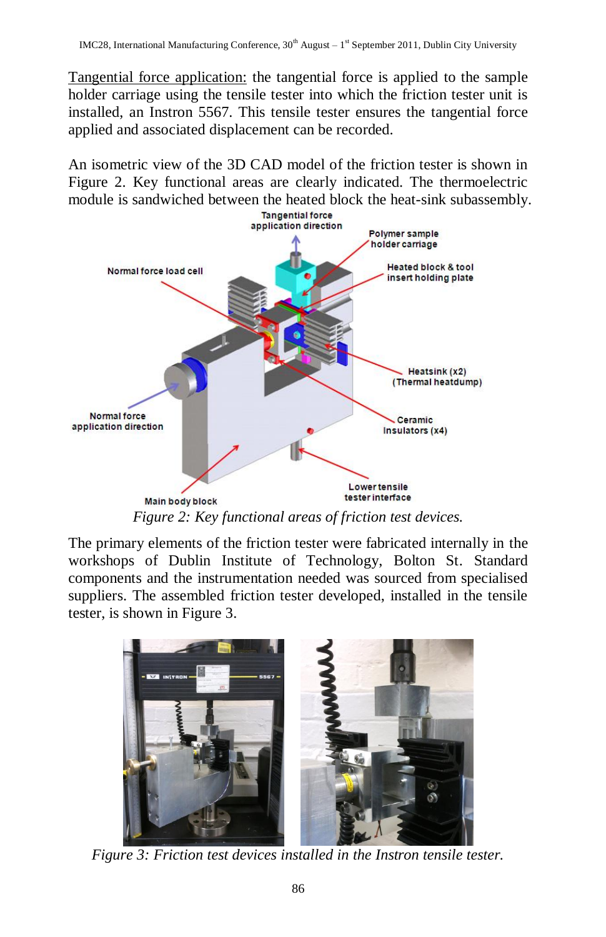Tangential force application: the tangential force is applied to the sample holder carriage using the tensile tester into which the friction tester unit is installed, an Instron 5567. This tensile tester ensures the tangential force applied and associated displacement can be recorded.

An isometric view of the 3D CAD model of the friction tester is shown in Figure 2. Key functional areas are clearly indicated. The thermoelectric module is sandwiched between the heated block the heat-sink subassembly.<br> **Example 1998** 



The primary elements of the friction tester were fabricated internally in the workshops of Dublin Institute of Technology, Bolton St. Standard components and the instrumentation needed was sourced from specialised suppliers. The assembled friction tester developed, installed in the tensile tester, is shown in Figure 3.



*Figure 3: Friction test devices installed in the Instron tensile tester.*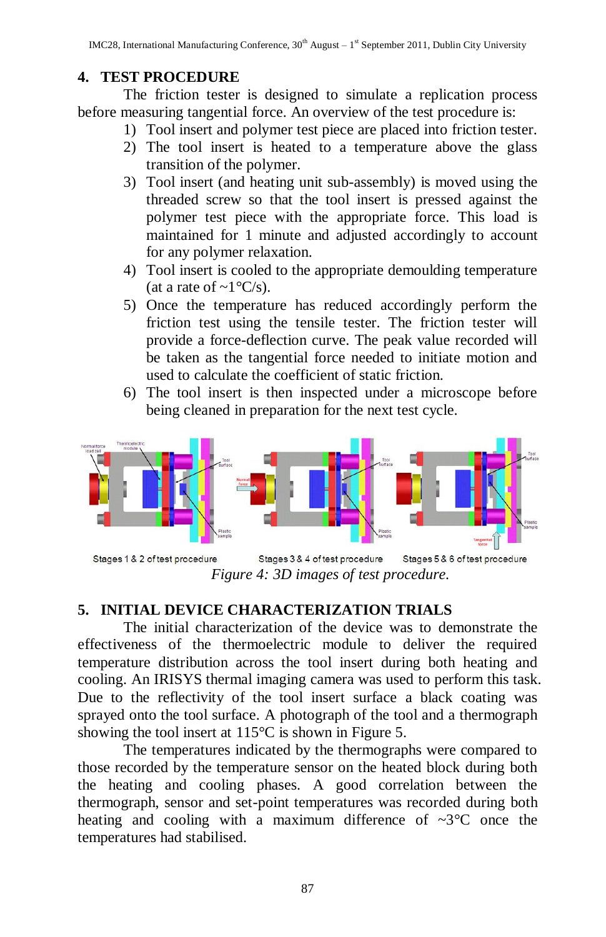# **4. TEST PROCEDURE**

The friction tester is designed to simulate a replication process before measuring tangential force. An overview of the test procedure is:

- 1) Tool insert and polymer test piece are placed into friction tester.
- 2) The tool insert is heated to a temperature above the glass transition of the polymer.
- 3) Tool insert (and heating unit sub-assembly) is moved using the threaded screw so that the tool insert is pressed against the polymer test piece with the appropriate force. This load is maintained for 1 minute and adjusted accordingly to account for any polymer relaxation.
- 4) Tool insert is cooled to the appropriate demoulding temperature (at a rate of  $\sim 1^{\circ}C/s$ ).
- 5) Once the temperature has reduced accordingly perform the friction test using the tensile tester. The friction tester will provide a force-deflection curve. The peak value recorded will be taken as the tangential force needed to initiate motion and used to calculate the coefficient of static friction.
- 6) The tool insert is then inspected under a microscope before being cleaned in preparation for the next test cycle.



Stages 3 & 4 of test procedure Stages 5 & 6 of test procedure Stages 1 & 2 of test procedure *Figure 4: 3D images of test procedure.*

# **5. INITIAL DEVICE CHARACTERIZATION TRIALS**

The initial characterization of the device was to demonstrate the effectiveness of the thermoelectric module to deliver the required temperature distribution across the tool insert during both heating and cooling. An IRISYS thermal imaging camera was used to perform this task. Due to the reflectivity of the tool insert surface a black coating was sprayed onto the tool surface. A photograph of the tool and a thermograph showing the tool insert at 115°C is shown in Figure 5.

The temperatures indicated by the thermographs were compared to those recorded by the temperature sensor on the heated block during both the heating and cooling phases. A good correlation between the thermograph, sensor and set-point temperatures was recorded during both heating and cooling with a maximum difference of  $\sim 3^{\circ}$ C once the temperatures had stabilised.